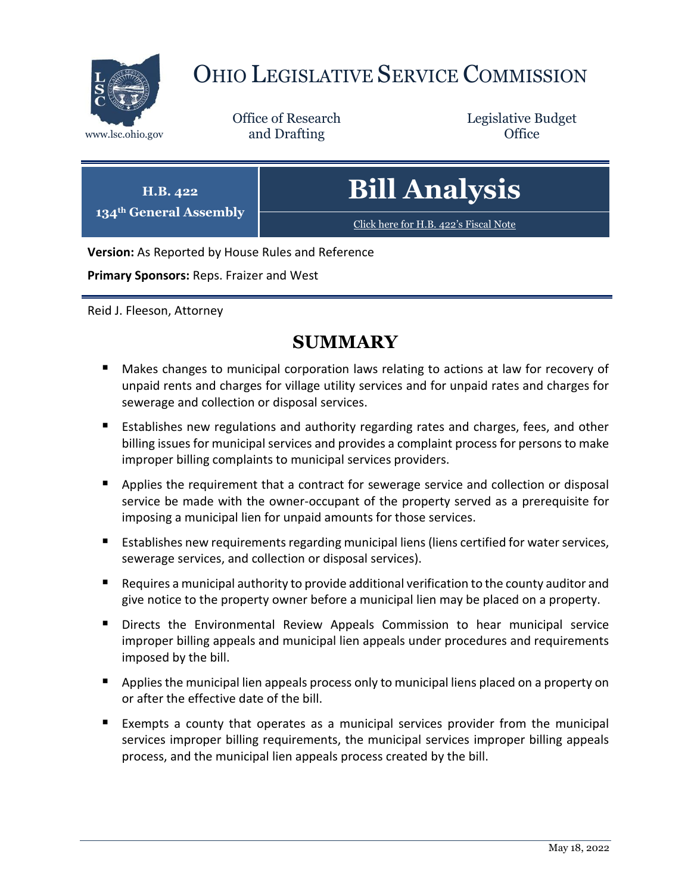

# OHIO LEGISLATIVE SERVICE COMMISSION

Office of Research www.lsc.ohio.gov **and Drafting Office** 

Legislative Budget

| H.B. 422<br>134 <sup>th</sup> General Assembly | <b>Bill Analysis</b>                  |
|------------------------------------------------|---------------------------------------|
|                                                | Click here for H.B. 422's Fiscal Note |
|                                                |                                       |

**Version:** As Reported by House Rules and Reference

**Primary Sponsors:** Reps. Fraizer and West

Reid J. Fleeson, Attorney

# **SUMMARY**

- Makes changes to municipal corporation laws relating to actions at law for recovery of unpaid rents and charges for village utility services and for unpaid rates and charges for sewerage and collection or disposal services.
- **E** Establishes new regulations and authority regarding rates and charges, fees, and other billing issues for municipal services and provides a complaint process for persons to make improper billing complaints to municipal services providers.
- **Applies the requirement that a contract for sewerage service and collection or disposal** service be made with the owner-occupant of the property served as a prerequisite for imposing a municipal lien for unpaid amounts for those services.
- Establishes new requirements regarding municipal liens (liens certified for water services, sewerage services, and collection or disposal services).
- Requires a municipal authority to provide additional verification to the county auditor and give notice to the property owner before a municipal lien may be placed on a property.
- Directs the Environmental Review Appeals Commission to hear municipal service improper billing appeals and municipal lien appeals under procedures and requirements imposed by the bill.
- **Applies the municipal lien appeals process only to municipal liens placed on a property on** or after the effective date of the bill.
- Exempts a county that operates as a municipal services provider from the municipal services improper billing requirements, the municipal services improper billing appeals process, and the municipal lien appeals process created by the bill.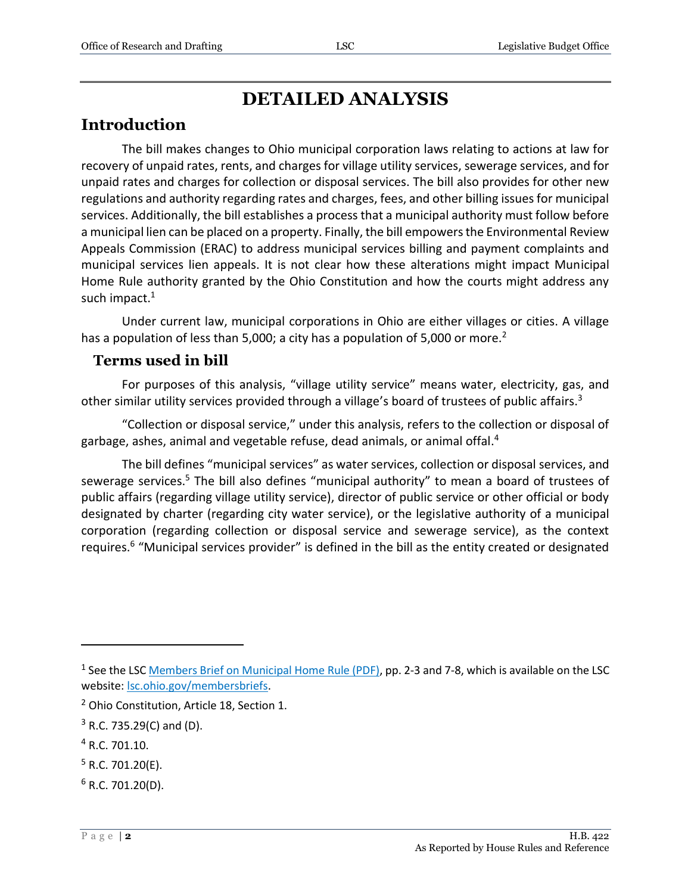# **DETAILED ANALYSIS**

### **Introduction**

The bill makes changes to Ohio municipal corporation laws relating to actions at law for recovery of unpaid rates, rents, and charges for village utility services, sewerage services, and for unpaid rates and charges for collection or disposal services. The bill also provides for other new regulations and authority regarding rates and charges, fees, and other billing issues for municipal services. Additionally, the bill establishes a process that a municipal authority must follow before a municipal lien can be placed on a property. Finally, the bill empowers the Environmental Review Appeals Commission (ERAC) to address municipal services billing and payment complaints and municipal services lien appeals. It is not clear how these alterations might impact Municipal Home Rule authority granted by the Ohio Constitution and how the courts might address any such impact.<sup>1</sup>

Under current law, municipal corporations in Ohio are either villages or cities. A village has a population of less than 5,000; a city has a population of 5,000 or more.<sup>2</sup>

#### **Terms used in bill**

For purposes of this analysis, "village utility service" means water, electricity, gas, and other similar utility services provided through a village's board of trustees of public affairs.<sup>3</sup>

"Collection or disposal service," under this analysis, refers to the collection or disposal of garbage, ashes, animal and vegetable refuse, dead animals, or animal offal.<sup>4</sup>

The bill defines "municipal services" as water services, collection or disposal services, and sewerage services.<sup>5</sup> The bill also defines "municipal authority" to mean a board of trustees of public affairs (regarding village utility service), director of public service or other official or body designated by charter (regarding city water service), or the legislative authority of a municipal corporation (regarding collection or disposal service and sewerage service), as the context requires.<sup>6</sup> "Municipal services provider" is defined in the bill as the entity created or designated

<sup>4</sup> R.C. 701.10.

- $5$  R.C. 701.20(E).
- $6$  R.C. 701.20(D).

<sup>&</sup>lt;sup>1</sup> See the LSC **Members Brief on Municipal Home Rule (PDF)**, pp. 2-3 and 7-8, which is available on the LSC website[: lsc.ohio.gov/membersbriefs.](https://www.lsc.ohio.gov/pages/reference/current/membersbriefs.aspx)

<sup>2</sup> Ohio Constitution, Article 18, Section 1.

 $3$  R.C. 735.29(C) and (D).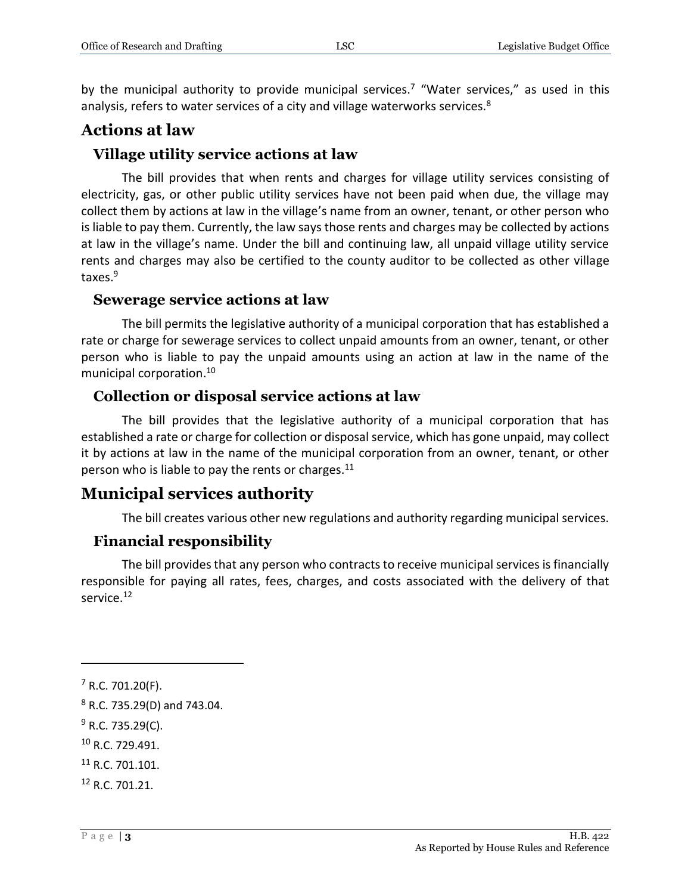by the municipal authority to provide municipal services.<sup>7</sup> "Water services," as used in this analysis, refers to water services of a city and village waterworks services.<sup>8</sup>

### **Actions at law**

### **Village utility service actions at law**

The bill provides that when rents and charges for village utility services consisting of electricity, gas, or other public utility services have not been paid when due, the village may collect them by actions at law in the village's name from an owner, tenant, or other person who is liable to pay them. Currently, the law says those rents and charges may be collected by actions at law in the village's name. Under the bill and continuing law, all unpaid village utility service rents and charges may also be certified to the county auditor to be collected as other village taxes.<sup>9</sup>

#### **Sewerage service actions at law**

The bill permits the legislative authority of a municipal corporation that has established a rate or charge for sewerage services to collect unpaid amounts from an owner, tenant, or other person who is liable to pay the unpaid amounts using an action at law in the name of the municipal corporation.<sup>10</sup>

### **Collection or disposal service actions at law**

The bill provides that the legislative authority of a municipal corporation that has established a rate or charge for collection or disposal service, which has gone unpaid, may collect it by actions at law in the name of the municipal corporation from an owner, tenant, or other person who is liable to pay the rents or charges.<sup>11</sup>

### **Municipal services authority**

The bill creates various other new regulations and authority regarding municipal services.

### **Financial responsibility**

The bill provides that any person who contracts to receive municipal services is financially responsible for paying all rates, fees, charges, and costs associated with the delivery of that service.<sup>12</sup>

 $7$  R.C. 701.20(F).

<sup>8</sup> R.C. 735.29(D) and 743.04.

 $9$  R.C. 735.29(C).

<sup>10</sup> R.C. 729.491.

<sup>&</sup>lt;sup>11</sup> R.C. 701.101.

<sup>12</sup> R.C. 701.21.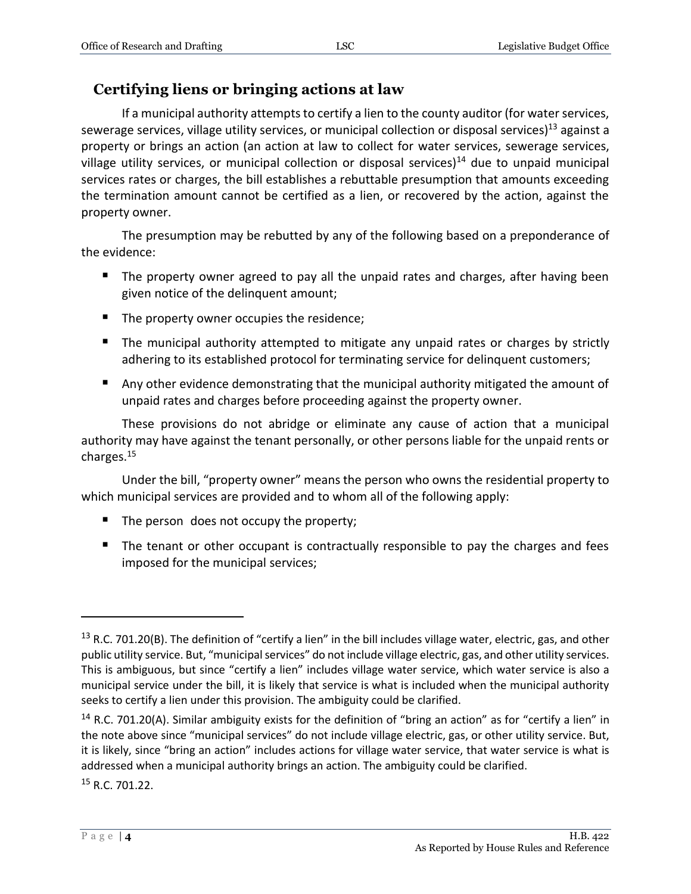### **Certifying liens or bringing actions at law**

If a municipal authority attempts to certify a lien to the county auditor (for water services, sewerage services, village utility services, or municipal collection or disposal services)<sup>13</sup> against a property or brings an action (an action at law to collect for water services, sewerage services, village utility services, or municipal collection or disposal services)<sup>14</sup> due to unpaid municipal services rates or charges, the bill establishes a rebuttable presumption that amounts exceeding the termination amount cannot be certified as a lien, or recovered by the action, against the property owner.

The presumption may be rebutted by any of the following based on a preponderance of the evidence:

- The property owner agreed to pay all the unpaid rates and charges, after having been given notice of the delinquent amount;
- The property owner occupies the residence;
- The municipal authority attempted to mitigate any unpaid rates or charges by strictly adhering to its established protocol for terminating service for delinquent customers;
- **Any other evidence demonstrating that the municipal authority mitigated the amount of** unpaid rates and charges before proceeding against the property owner.

These provisions do not abridge or eliminate any cause of action that a municipal authority may have against the tenant personally, or other persons liable for the unpaid rents or charges.<sup>15</sup>

Under the bill, "property owner" means the person who owns the residential property to which municipal services are provided and to whom all of the following apply:

- The person does not occupy the property;
- The tenant or other occupant is contractually responsible to pay the charges and fees imposed for the municipal services;

<sup>15</sup> R.C. 701.22.

<sup>&</sup>lt;sup>13</sup> R.C. 701.20(B). The definition of "certify a lien" in the bill includes village water, electric, gas, and other public utility service. But, "municipal services" do not include village electric, gas, and other utility services. This is ambiguous, but since "certify a lien" includes village water service, which water service is also a municipal service under the bill, it is likely that service is what is included when the municipal authority seeks to certify a lien under this provision. The ambiguity could be clarified.

 $14$  R.C. 701.20(A). Similar ambiguity exists for the definition of "bring an action" as for "certify a lien" in the note above since "municipal services" do not include village electric, gas, or other utility service. But, it is likely, since "bring an action" includes actions for village water service, that water service is what is addressed when a municipal authority brings an action. The ambiguity could be clarified.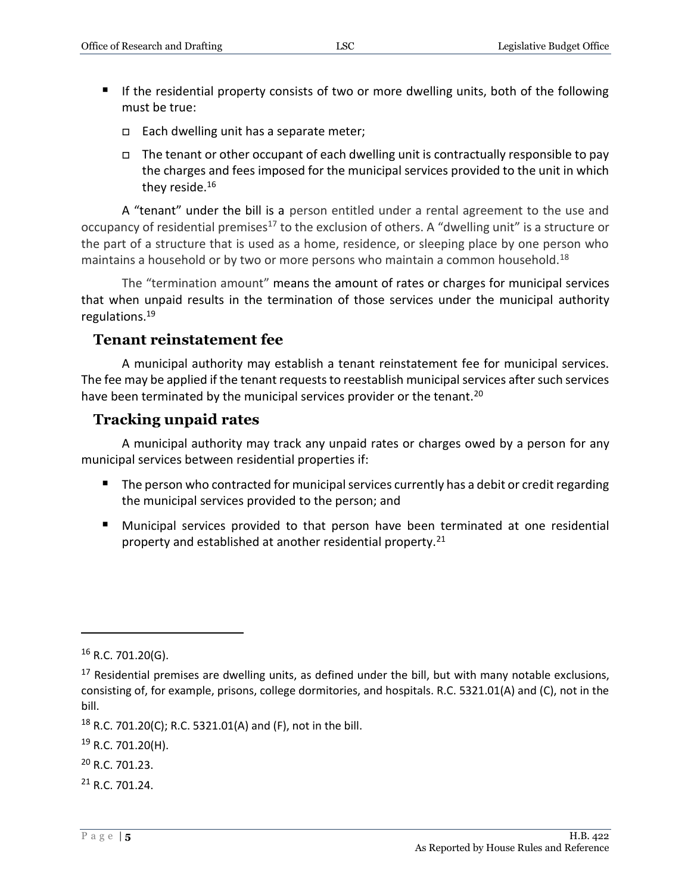- If the residential property consists of two or more dwelling units, both of the following must be true:
	- $\Box$  Each dwelling unit has a separate meter;
	- $\Box$  The tenant or other occupant of each dwelling unit is contractually responsible to pay the charges and fees imposed for the municipal services provided to the unit in which they reside.<sup>16</sup>

A "tenant" under the bill is a person entitled under a rental agreement to the use and occupancy of residential premises<sup>17</sup> to the exclusion of others. A "dwelling unit" is a structure or the part of a structure that is used as a home, residence, or sleeping place by one person who maintains a household or by two or more persons who maintain a common household.<sup>18</sup>

The "termination amount" means the amount of rates or charges for municipal services that when unpaid results in the termination of those services under the municipal authority regulations.<sup>19</sup>

### **Tenant reinstatement fee**

A municipal authority may establish a tenant reinstatement fee for municipal services. The fee may be applied if the tenant requests to reestablish municipal services after such services have been terminated by the municipal services provider or the tenant.<sup>20</sup>

### **Tracking unpaid rates**

A municipal authority may track any unpaid rates or charges owed by a person for any municipal services between residential properties if:

- **The person who contracted for municipal services currently has a debit or credit regarding** the municipal services provided to the person; and
- **Municipal services provided to that person have been terminated at one residential** property and established at another residential property.<sup>21</sup>

 $16$  R.C. 701.20(G).

 $17$  Residential premises are dwelling units, as defined under the bill, but with many notable exclusions, consisting of, for example, prisons, college dormitories, and hospitals. R.C. 5321.01(A) and (C), not in the bill.

<sup>&</sup>lt;sup>18</sup> R.C. 701.20(C); R.C. 5321.01(A) and (F), not in the bill.

<sup>&</sup>lt;sup>19</sup> R.C. 701.20(H).

<sup>20</sup> R.C. 701.23.

<sup>21</sup> R.C. 701.24.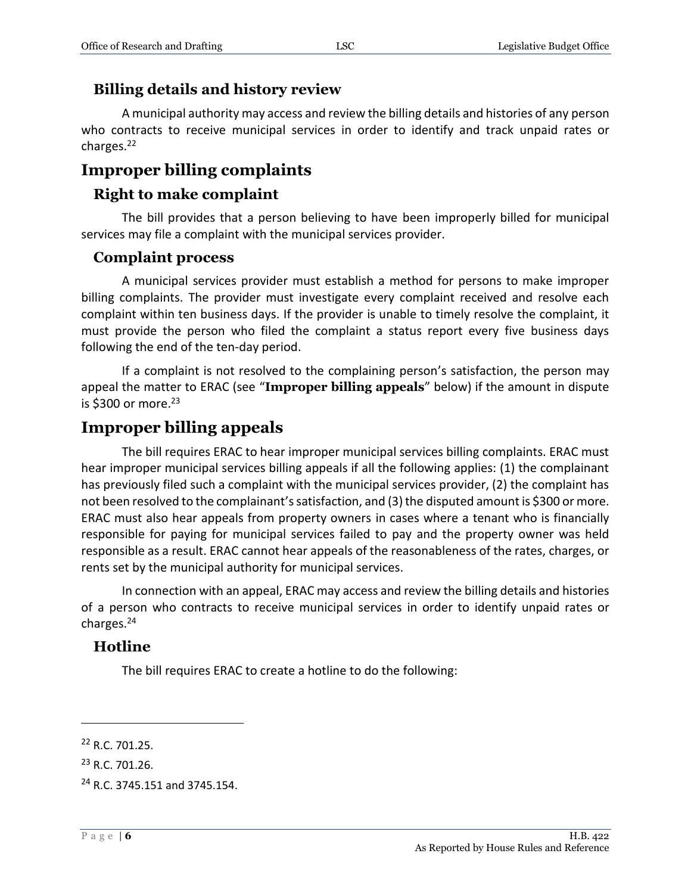#### **Billing details and history review**

A municipal authority may access and review the billing details and histories of any person who contracts to receive municipal services in order to identify and track unpaid rates or charges.<sup>22</sup>

### **Improper billing complaints**

#### **Right to make complaint**

The bill provides that a person believing to have been improperly billed for municipal services may file a complaint with the municipal services provider.

#### **Complaint process**

A municipal services provider must establish a method for persons to make improper billing complaints. The provider must investigate every complaint received and resolve each complaint within ten business days. If the provider is unable to timely resolve the complaint, it must provide the person who filed the complaint a status report every five business days following the end of the ten-day period.

If a complaint is not resolved to the complaining person's satisfaction, the person may appeal the matter to ERAC (see "**Improper billing appeals**" below) if the amount in dispute is \$300 or more. $23$ 

### **Improper billing appeals**

The bill requires ERAC to hear improper municipal services billing complaints. ERAC must hear improper municipal services billing appeals if all the following applies: (1) the complainant has previously filed such a complaint with the municipal services provider, (2) the complaint has not been resolved to the complainant's satisfaction, and (3) the disputed amount is \$300 or more. ERAC must also hear appeals from property owners in cases where a tenant who is financially responsible for paying for municipal services failed to pay and the property owner was held responsible as a result. ERAC cannot hear appeals of the reasonableness of the rates, charges, or rents set by the municipal authority for municipal services.

In connection with an appeal, ERAC may access and review the billing details and histories of a person who contracts to receive municipal services in order to identify unpaid rates or charges.<sup>24</sup>

### **Hotline**

The bill requires ERAC to create a hotline to do the following:

<sup>22</sup> R.C. 701.25.

<sup>23</sup> R.C. 701.26.

<sup>24</sup> R.C. 3745.151 and 3745.154.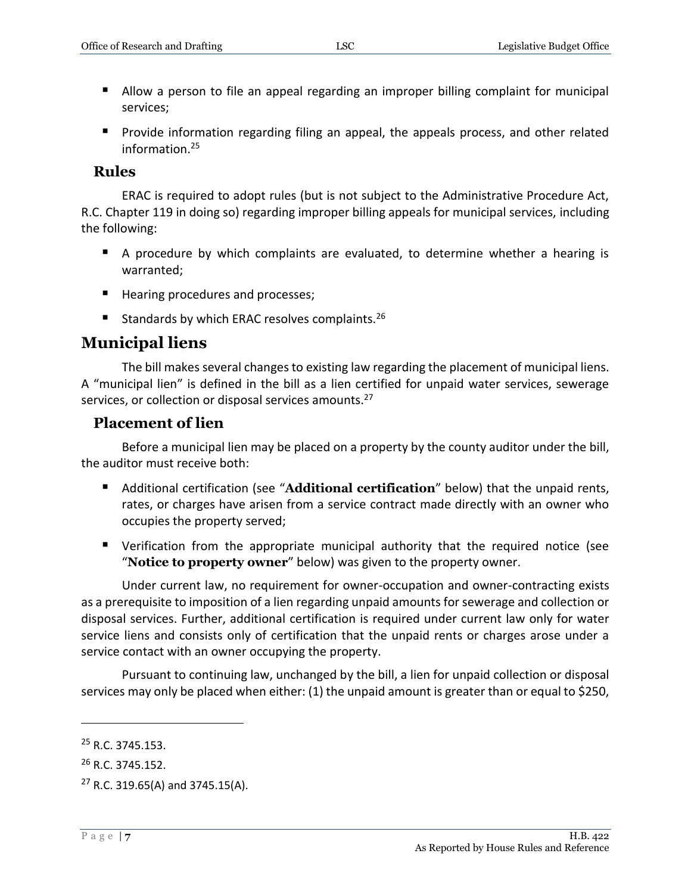- **Allow a person to file an appeal regarding an improper billing complaint for municipal** services;
- **Provide information regarding filing an appeal, the appeals process, and other related** information.<sup>25</sup>

#### **Rules**

ERAC is required to adopt rules (but is not subject to the Administrative Procedure Act, R.C. Chapter 119 in doing so) regarding improper billing appeals for municipal services, including the following:

- A procedure by which complaints are evaluated, to determine whether a hearing is warranted;
- Hearing procedures and processes;
- Standards by which ERAC resolves complaints.<sup>26</sup>

### **Municipal liens**

The bill makes several changes to existing law regarding the placement of municipal liens. A "municipal lien" is defined in the bill as a lien certified for unpaid water services, sewerage services, or collection or disposal services amounts.<sup>27</sup>

#### **Placement of lien**

Before a municipal lien may be placed on a property by the county auditor under the bill, the auditor must receive both:

- Additional certification (see "**Additional certification**" below) that the unpaid rents, rates, or charges have arisen from a service contract made directly with an owner who occupies the property served;
- Verification from the appropriate municipal authority that the required notice (see "**Notice to property owner**" below) was given to the property owner.

Under current law, no requirement for owner-occupation and owner-contracting exists as a prerequisite to imposition of a lien regarding unpaid amounts for sewerage and collection or disposal services. Further, additional certification is required under current law only for water service liens and consists only of certification that the unpaid rents or charges arose under a service contact with an owner occupying the property.

Pursuant to continuing law, unchanged by the bill, a lien for unpaid collection or disposal services may only be placed when either: (1) the unpaid amount is greater than or equal to \$250,

<sup>&</sup>lt;sup>25</sup> R.C. 3745.153.

<sup>&</sup>lt;sup>26</sup> R.C. 3745.152.

 $27$  R.C. 319.65(A) and 3745.15(A).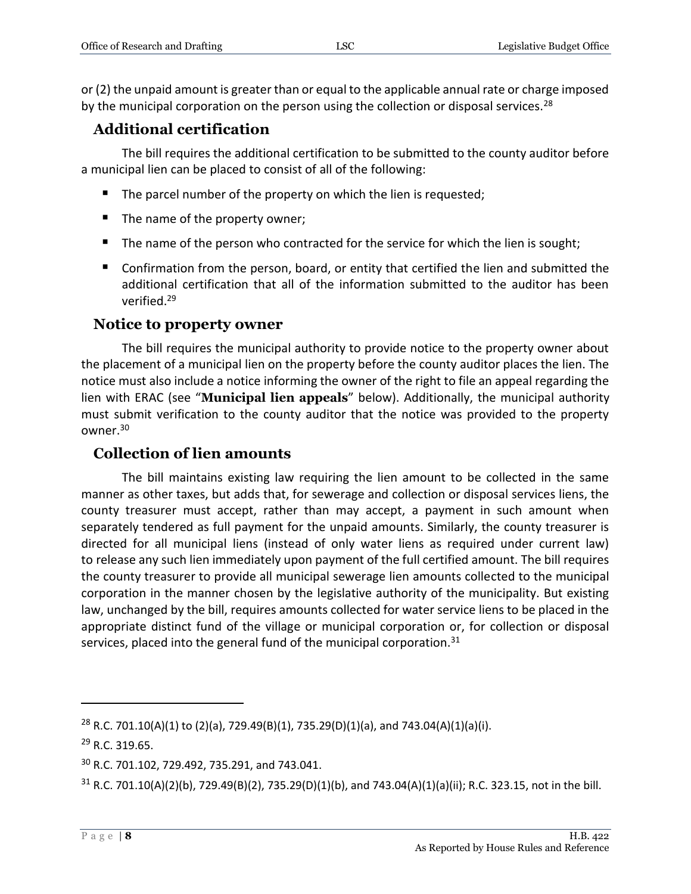or (2) the unpaid amount is greater than or equal to the applicable annual rate or charge imposed by the municipal corporation on the person using the collection or disposal services.<sup>28</sup>

### **Additional certification**

The bill requires the additional certification to be submitted to the county auditor before a municipal lien can be placed to consist of all of the following:

- $\blacksquare$  The parcel number of the property on which the lien is requested;
- $\blacksquare$  The name of the property owner;
- $\blacksquare$  The name of the person who contracted for the service for which the lien is sought;
- Confirmation from the person, board, or entity that certified the lien and submitted the additional certification that all of the information submitted to the auditor has been verified.<sup>29</sup>

### **Notice to property owner**

The bill requires the municipal authority to provide notice to the property owner about the placement of a municipal lien on the property before the county auditor places the lien. The notice must also include a notice informing the owner of the right to file an appeal regarding the lien with ERAC (see "**Municipal lien appeals**" below). Additionally, the municipal authority must submit verification to the county auditor that the notice was provided to the property owner.<sup>30</sup>

### **Collection of lien amounts**

The bill maintains existing law requiring the lien amount to be collected in the same manner as other taxes, but adds that, for sewerage and collection or disposal services liens, the county treasurer must accept, rather than may accept, a payment in such amount when separately tendered as full payment for the unpaid amounts. Similarly, the county treasurer is directed for all municipal liens (instead of only water liens as required under current law) to release any such lien immediately upon payment of the full certified amount. The bill requires the county treasurer to provide all municipal sewerage lien amounts collected to the municipal corporation in the manner chosen by the legislative authority of the municipality. But existing law, unchanged by the bill, requires amounts collected for water service liens to be placed in the appropriate distinct fund of the village or municipal corporation or, for collection or disposal services, placed into the general fund of the municipal corporation.<sup>31</sup>

<sup>&</sup>lt;sup>28</sup> R.C. 701.10(A)(1) to (2)(a), 729.49(B)(1), 735.29(D)(1)(a), and 743.04(A)(1)(a)(i).

<sup>29</sup> R.C. 319.65.

<sup>30</sup> R.C. 701.102, 729.492, 735.291, and 743.041.

 $31$  R.C. 701.10(A)(2)(b), 729.49(B)(2), 735.29(D)(1)(b), and 743.04(A)(1)(a)(ii); R.C. 323.15, not in the bill.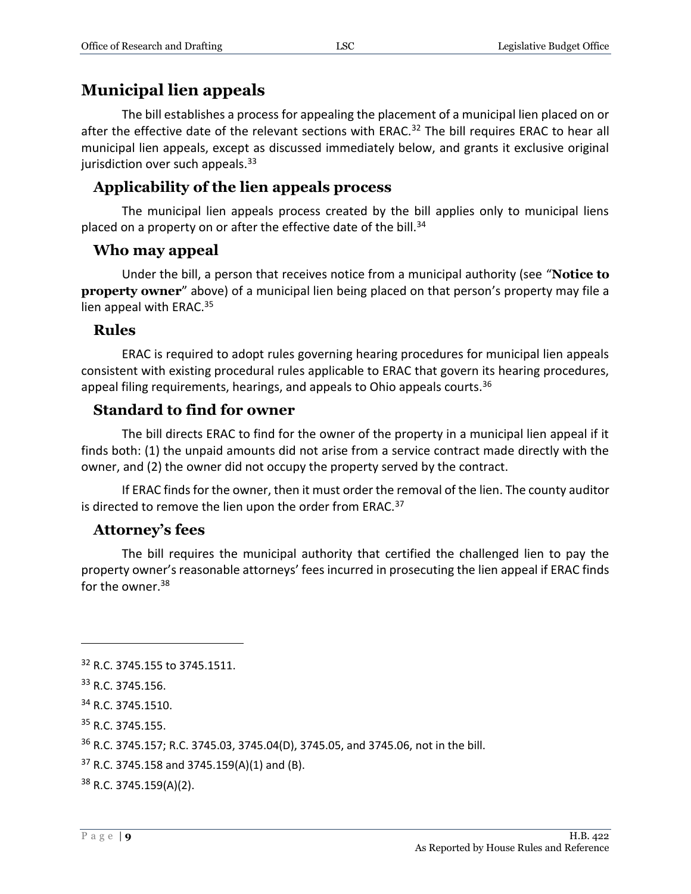### **Municipal lien appeals**

The bill establishes a process for appealing the placement of a municipal lien placed on or after the effective date of the relevant sections with ERAC.<sup>32</sup> The bill requires ERAC to hear all municipal lien appeals, except as discussed immediately below, and grants it exclusive original jurisdiction over such appeals. $33$ 

### **Applicability of the lien appeals process**

The municipal lien appeals process created by the bill applies only to municipal liens placed on a property on or after the effective date of the bill. $34$ 

### **Who may appeal**

Under the bill, a person that receives notice from a municipal authority (see "**Notice to property owner**" above) of a municipal lien being placed on that person's property may file a lien appeal with ERAC.<sup>35</sup>

#### **Rules**

ERAC is required to adopt rules governing hearing procedures for municipal lien appeals consistent with existing procedural rules applicable to ERAC that govern its hearing procedures, appeal filing requirements, hearings, and appeals to Ohio appeals courts.  $36$ 

### **Standard to find for owner**

The bill directs ERAC to find for the owner of the property in a municipal lien appeal if it finds both: (1) the unpaid amounts did not arise from a service contract made directly with the owner, and (2) the owner did not occupy the property served by the contract.

If ERAC finds for the owner, then it must order the removal of the lien. The county auditor is directed to remove the lien upon the order from ERAC.<sup>37</sup>

### **Attorney's fees**

The bill requires the municipal authority that certified the challenged lien to pay the property owner's reasonable attorneys' fees incurred in prosecuting the lien appeal if ERAC finds for the owner. $38$ 

 $\overline{a}$ 

<sup>35</sup> R.C. 3745.155.

<sup>36</sup> R.C. 3745.157; R.C. 3745.03, 3745.04(D), 3745.05, and 3745.06, not in the bill.

 $37$  R.C. 3745.158 and 3745.159(A)(1) and (B).

<sup>38</sup> R.C. 3745.159(A)(2).

<sup>&</sup>lt;sup>32</sup> R.C. 3745.155 to 3745.1511.

<sup>33</sup> R.C. 3745.156.

<sup>34</sup> R.C. 3745.1510.